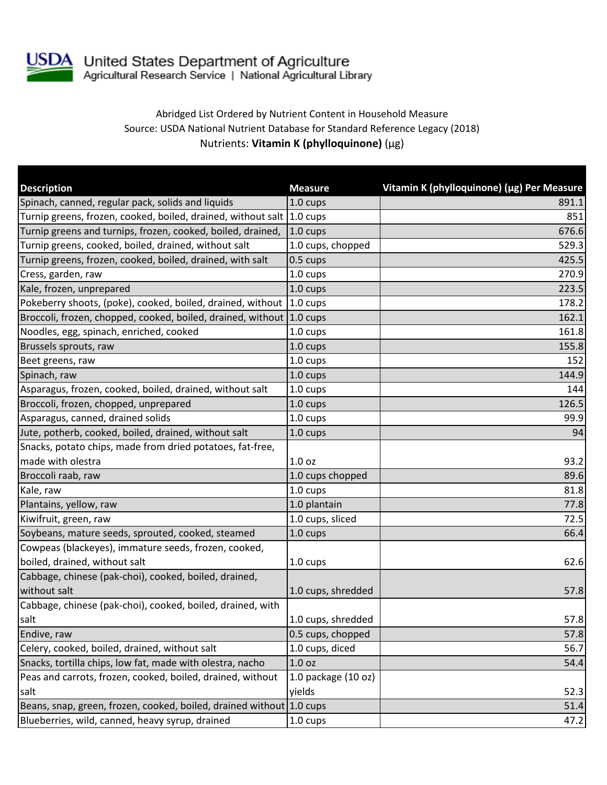

## Abridged List Ordered by Nutrient Content in Household Measure Source: USDA National Nutrient Database for Standard Reference Legacy (2018) Nutrients: **Vitamin K (phylloquinone)** (µg)

| <b>Description</b>                                                    | <b>Measure</b>      | Vitamin K (phylloquinone) (µg) Per Measure |
|-----------------------------------------------------------------------|---------------------|--------------------------------------------|
| Spinach, canned, regular pack, solids and liquids                     | 1.0 cups            | 891.1                                      |
| Turnip greens, frozen, cooked, boiled, drained, without salt 1.0 cups |                     | 851                                        |
| Turnip greens and turnips, frozen, cooked, boiled, drained,           | $1.0 \text{ cups}$  | 676.6                                      |
| Turnip greens, cooked, boiled, drained, without salt                  | 1.0 cups, chopped   | 529.3                                      |
| Turnip greens, frozen, cooked, boiled, drained, with salt             | 0.5 cups            | 425.5                                      |
| Cress, garden, raw                                                    | 1.0 cups            | 270.9                                      |
| Kale, frozen, unprepared                                              | 1.0 cups            | 223.5                                      |
| Pokeberry shoots, (poke), cooked, boiled, drained, without 1.0 cups   |                     | 178.2                                      |
| Broccoli, frozen, chopped, cooked, boiled, drained, without 1.0 cups  |                     | 162.1                                      |
| Noodles, egg, spinach, enriched, cooked                               | 1.0 cups            | 161.8                                      |
| Brussels sprouts, raw                                                 | 1.0 cups            | 155.8                                      |
| Beet greens, raw                                                      | 1.0 cups            | 152                                        |
| Spinach, raw                                                          | 1.0 cups            | 144.9                                      |
| Asparagus, frozen, cooked, boiled, drained, without salt              | 1.0 cups            | 144                                        |
| Broccoli, frozen, chopped, unprepared                                 | 1.0 cups            | 126.5                                      |
| Asparagus, canned, drained solids                                     | 1.0 cups            | 99.9                                       |
| Jute, potherb, cooked, boiled, drained, without salt                  | 1.0 cups            | 94                                         |
| Snacks, potato chips, made from dried potatoes, fat-free,             |                     |                                            |
| made with olestra                                                     | 1.0 <sub>oz</sub>   | 93.2                                       |
| Broccoli raab, raw                                                    | 1.0 cups chopped    | 89.6                                       |
| Kale, raw                                                             | 1.0 cups            | 81.8                                       |
| Plantains, yellow, raw                                                | 1.0 plantain        | 77.8                                       |
| Kiwifruit, green, raw                                                 | 1.0 cups, sliced    | 72.5                                       |
| Soybeans, mature seeds, sprouted, cooked, steamed                     | 1.0 cups            | 66.4                                       |
| Cowpeas (blackeyes), immature seeds, frozen, cooked,                  |                     |                                            |
| boiled, drained, without salt                                         | 1.0 cups            | 62.6                                       |
| Cabbage, chinese (pak-choi), cooked, boiled, drained,                 |                     |                                            |
| without salt                                                          | 1.0 cups, shredded  | 57.8                                       |
| Cabbage, chinese (pak-choi), cooked, boiled, drained, with            |                     |                                            |
| salt                                                                  | 1.0 cups, shredded  | 57.8                                       |
| Endive, raw                                                           | 0.5 cups, chopped   | 57.8                                       |
| Celery, cooked, boiled, drained, without salt                         | 1.0 cups, diced     | 56.7                                       |
| Snacks, tortilla chips, low fat, made with olestra, nacho             | 1.0 <sub>oz</sub>   | 54.4                                       |
| Peas and carrots, frozen, cooked, boiled, drained, without            | 1.0 package (10 oz) |                                            |
| salt                                                                  | yields              | 52.3                                       |
| Beans, snap, green, frozen, cooked, boiled, drained without 1.0 cups  |                     | 51.4                                       |
| Blueberries, wild, canned, heavy syrup, drained                       | 1.0 cups            | 47.2                                       |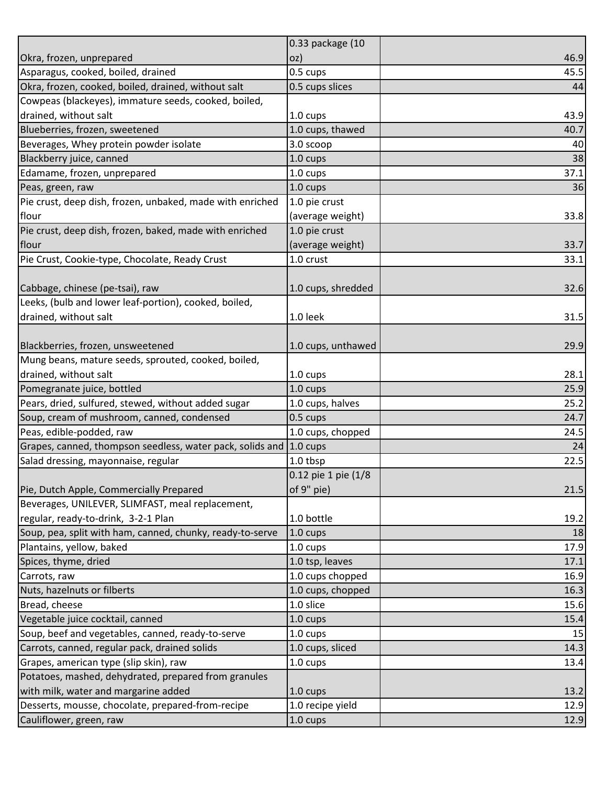|                                                                    | 0.33 package (10    |      |
|--------------------------------------------------------------------|---------------------|------|
| Okra, frozen, unprepared                                           | oz)                 | 46.9 |
| Asparagus, cooked, boiled, drained                                 | 0.5 cups            | 45.5 |
| Okra, frozen, cooked, boiled, drained, without salt                | 0.5 cups slices     | 44   |
| Cowpeas (blackeyes), immature seeds, cooked, boiled,               |                     |      |
| drained, without salt                                              | 1.0 cups            | 43.9 |
| Blueberries, frozen, sweetened                                     | 1.0 cups, thawed    | 40.7 |
| Beverages, Whey protein powder isolate                             | 3.0 scoop           | 40   |
| Blackberry juice, canned                                           | $1.0 \text{ cups}$  | 38   |
| Edamame, frozen, unprepared                                        | 1.0 cups            | 37.1 |
| Peas, green, raw                                                   | 1.0 cups            | 36   |
| Pie crust, deep dish, frozen, unbaked, made with enriched          | 1.0 pie crust       |      |
| flour                                                              | (average weight)    | 33.8 |
| Pie crust, deep dish, frozen, baked, made with enriched            | 1.0 pie crust       |      |
| flour                                                              | (average weight)    | 33.7 |
| Pie Crust, Cookie-type, Chocolate, Ready Crust                     | 1.0 crust           | 33.1 |
|                                                                    |                     |      |
| Cabbage, chinese (pe-tsai), raw                                    | 1.0 cups, shredded  | 32.6 |
| Leeks, (bulb and lower leaf-portion), cooked, boiled,              |                     |      |
| drained, without salt                                              | 1.0 leek            | 31.5 |
|                                                                    |                     |      |
| Blackberries, frozen, unsweetened                                  | 1.0 cups, unthawed  | 29.9 |
| Mung beans, mature seeds, sprouted, cooked, boiled,                |                     |      |
| drained, without salt                                              | 1.0 cups            | 28.1 |
| Pomegranate juice, bottled                                         | 1.0 cups            | 25.9 |
| Pears, dried, sulfured, stewed, without added sugar                | 1.0 cups, halves    | 25.2 |
| Soup, cream of mushroom, canned, condensed                         | 0.5 cups            | 24.7 |
| Peas, edible-podded, raw                                           | 1.0 cups, chopped   | 24.5 |
| Grapes, canned, thompson seedless, water pack, solids and 1.0 cups |                     | 24   |
|                                                                    |                     | 22.5 |
| Salad dressing, mayonnaise, regular                                | 1.0 tbsp            |      |
|                                                                    | 0.12 pie 1 pie (1/8 |      |
| Pie, Dutch Apple, Commercially Prepared                            | of 9" pie)          | 21.5 |
| Beverages, UNILEVER, SLIMFAST, meal replacement,                   |                     |      |
| regular, ready-to-drink, 3-2-1 Plan                                | 1.0 bottle          | 19.2 |
| Soup, pea, split with ham, canned, chunky, ready-to-serve          | $1.0 \text{ cups}$  | 18   |
| Plantains, yellow, baked                                           | 1.0 cups            | 17.9 |
| Spices, thyme, dried                                               | 1.0 tsp, leaves     | 17.1 |
| Carrots, raw                                                       | 1.0 cups chopped    | 16.9 |
| Nuts, hazelnuts or filberts                                        | 1.0 cups, chopped   | 16.3 |
| Bread, cheese                                                      | 1.0 slice           | 15.6 |
| Vegetable juice cocktail, canned                                   | 1.0 cups            | 15.4 |
| Soup, beef and vegetables, canned, ready-to-serve                  | 1.0 cups            | 15   |
| Carrots, canned, regular pack, drained solids                      | 1.0 cups, sliced    | 14.3 |
| Grapes, american type (slip skin), raw                             | 1.0 cups            | 13.4 |
| Potatoes, mashed, dehydrated, prepared from granules               |                     |      |
| with milk, water and margarine added                               | $1.0 \text{ cups}$  | 13.2 |
| Desserts, mousse, chocolate, prepared-from-recipe                  | 1.0 recipe yield    | 12.9 |
| Cauliflower, green, raw                                            | 1.0 cups            | 12.9 |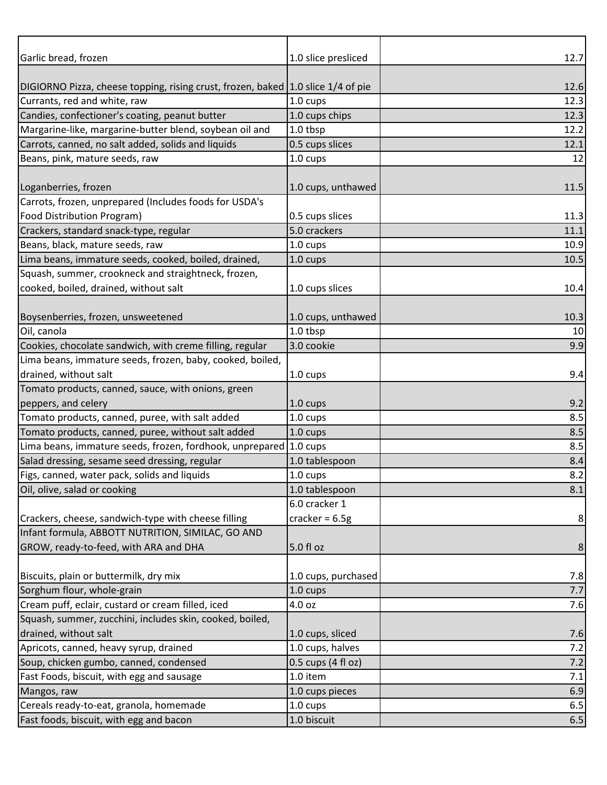| Garlic bread, frozen                                                             | 1.0 slice presliced | 12.7             |
|----------------------------------------------------------------------------------|---------------------|------------------|
|                                                                                  |                     |                  |
| DIGIORNO Pizza, cheese topping, rising crust, frozen, baked 1.0 slice 1/4 of pie |                     | 12.6             |
| Currants, red and white, raw                                                     | 1.0 cups            | 12.3             |
| Candies, confectioner's coating, peanut butter                                   | 1.0 cups chips      | 12.3             |
| Margarine-like, margarine-butter blend, soybean oil and                          | 1.0 tbsp            | 12.2             |
| Carrots, canned, no salt added, solids and liquids                               | 0.5 cups slices     | 12.1             |
| Beans, pink, mature seeds, raw                                                   | 1.0 cups            | 12               |
|                                                                                  |                     |                  |
| Loganberries, frozen                                                             | 1.0 cups, unthawed  | 11.5             |
| Carrots, frozen, unprepared (Includes foods for USDA's                           |                     |                  |
| Food Distribution Program)                                                       | 0.5 cups slices     | 11.3             |
| Crackers, standard snack-type, regular                                           | 5.0 crackers        | 11.1             |
| Beans, black, mature seeds, raw                                                  | 1.0 cups            | 10.9             |
| Lima beans, immature seeds, cooked, boiled, drained,                             | 1.0 cups            | 10.5             |
| Squash, summer, crookneck and straightneck, frozen,                              |                     |                  |
| cooked, boiled, drained, without salt                                            | 1.0 cups slices     | 10.4             |
|                                                                                  |                     |                  |
| Boysenberries, frozen, unsweetened                                               | 1.0 cups, unthawed  | 10.3             |
| Oil, canola                                                                      | 1.0 tbsp            | 10               |
| Cookies, chocolate sandwich, with creme filling, regular                         | 3.0 cookie          | 9.9              |
| Lima beans, immature seeds, frozen, baby, cooked, boiled,                        |                     |                  |
| drained, without salt                                                            | 1.0 cups            | 9.4              |
| Tomato products, canned, sauce, with onions, green                               |                     |                  |
| peppers, and celery                                                              | 1.0 cups            | 9.2              |
| Tomato products, canned, puree, with salt added                                  | 1.0 cups            | 8.5              |
| Tomato products, canned, puree, without salt added                               | 1.0 cups            | 8.5              |
| Lima beans, immature seeds, frozen, fordhook, unprepared 1.0 cups                |                     | 8.5              |
| Salad dressing, sesame seed dressing, regular                                    | 1.0 tablespoon      | 8.4              |
| Figs, canned, water pack, solids and liquids                                     | 1.0 cups            | 8.2              |
| Oil, olive, salad or cooking                                                     | 1.0 tablespoon      | 8.1              |
|                                                                                  | 6.0 cracker 1       |                  |
| Crackers, cheese, sandwich-type with cheese filling                              | cracker = $6.5g$    | 8                |
| Infant formula, ABBOTT NUTRITION, SIMILAC, GO AND                                |                     |                  |
| GROW, ready-to-feed, with ARA and DHA                                            | 5.0 fl oz           | $\boldsymbol{8}$ |
| Biscuits, plain or buttermilk, dry mix                                           | 1.0 cups, purchased |                  |
| Sorghum flour, whole-grain                                                       | 1.0 cups            | 7.8<br>7.7       |
| Cream puff, eclair, custard or cream filled, iced                                | 4.0 oz              | 7.6              |
| Squash, summer, zucchini, includes skin, cooked, boiled,                         |                     |                  |
| drained, without salt                                                            | 1.0 cups, sliced    |                  |
| Apricots, canned, heavy syrup, drained                                           | 1.0 cups, halves    | 7.6<br>7.2       |
| Soup, chicken gumbo, canned, condensed                                           | 0.5 cups (4 fl oz)  | 7.2              |
| Fast Foods, biscuit, with egg and sausage                                        | 1.0 item            | 7.1              |
| Mangos, raw                                                                      | 1.0 cups pieces     | 6.9              |
| Cereals ready-to-eat, granola, homemade                                          | 1.0 cups            | 6.5              |
| Fast foods, biscuit, with egg and bacon                                          | 1.0 biscuit         | 6.5              |
|                                                                                  |                     |                  |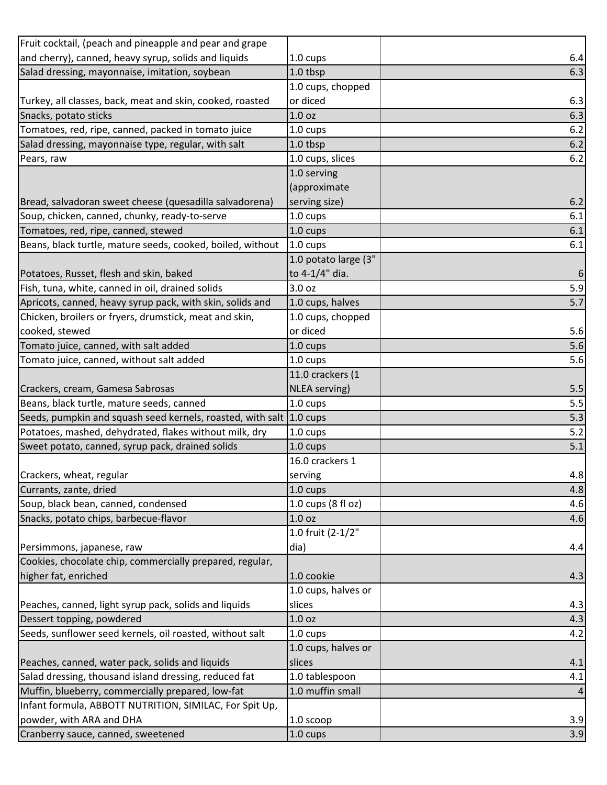| Fruit cocktail, (peach and pineapple and pear and grape             |                      |     |
|---------------------------------------------------------------------|----------------------|-----|
| and cherry), canned, heavy syrup, solids and liquids                | 1.0 cups             | 6.4 |
| Salad dressing, mayonnaise, imitation, soybean                      | 1.0 tbsp             | 6.3 |
|                                                                     | 1.0 cups, chopped    |     |
| Turkey, all classes, back, meat and skin, cooked, roasted           | or diced             | 6.3 |
| Snacks, potato sticks                                               | 1.0 oz               | 6.3 |
| Tomatoes, red, ripe, canned, packed in tomato juice                 | 1.0 cups             | 6.2 |
| Salad dressing, mayonnaise type, regular, with salt                 | 1.0 tbsp             | 6.2 |
| Pears, raw                                                          | 1.0 cups, slices     | 6.2 |
|                                                                     | 1.0 serving          |     |
|                                                                     | (approximate         |     |
| Bread, salvadoran sweet cheese (quesadilla salvadorena)             | serving size)        | 6.2 |
| Soup, chicken, canned, chunky, ready-to-serve                       | 1.0 cups             | 6.1 |
| Tomatoes, red, ripe, canned, stewed                                 | 1.0 cups             | 6.1 |
| Beans, black turtle, mature seeds, cooked, boiled, without          | $1.0 \text{ cups}$   | 6.1 |
|                                                                     | 1.0 potato large (3" |     |
| Potatoes, Russet, flesh and skin, baked                             | to 4-1/4" dia.       | 6   |
| Fish, tuna, white, canned in oil, drained solids                    | 3.0 oz               | 5.9 |
| Apricots, canned, heavy syrup pack, with skin, solids and           | 1.0 cups, halves     | 5.7 |
| Chicken, broilers or fryers, drumstick, meat and skin,              | 1.0 cups, chopped    |     |
| cooked, stewed                                                      | or diced             | 5.6 |
| Tomato juice, canned, with salt added                               | 1.0 cups             | 5.6 |
| Tomato juice, canned, without salt added                            | 1.0 cups             | 5.6 |
|                                                                     | 11.0 crackers (1     |     |
| Crackers, cream, Gamesa Sabrosas                                    | NLEA serving)        | 5.5 |
| Beans, black turtle, mature seeds, canned                           | 1.0 cups             | 5.5 |
| Seeds, pumpkin and squash seed kernels, roasted, with salt 1.0 cups |                      | 5.3 |
| Potatoes, mashed, dehydrated, flakes without milk, dry              | 1.0 cups             | 5.2 |
| Sweet potato, canned, syrup pack, drained solids                    | 1.0 cups             | 5.1 |
|                                                                     | 16.0 crackers 1      |     |
| Crackers, wheat, regular                                            | serving              | 4.8 |
| Currants, zante, dried                                              | 1.0 cups             | 4.8 |
| Soup, black bean, canned, condensed                                 | 1.0 cups (8 fl oz)   | 4.6 |
| Snacks, potato chips, barbecue-flavor                               | 1.0 <sub>oz</sub>    | 4.6 |
|                                                                     | 1.0 fruit (2-1/2"    |     |
| Persimmons, japanese, raw                                           | dia)                 | 4.4 |
| Cookies, chocolate chip, commercially prepared, regular,            |                      |     |
| higher fat, enriched                                                | 1.0 cookie           | 4.3 |
|                                                                     | 1.0 cups, halves or  |     |
| Peaches, canned, light syrup pack, solids and liquids               | slices               | 4.3 |
| Dessert topping, powdered                                           | 1.0 <sub>oz</sub>    | 4.3 |
| Seeds, sunflower seed kernels, oil roasted, without salt            | 1.0 cups             | 4.2 |
|                                                                     | 1.0 cups, halves or  |     |
| Peaches, canned, water pack, solids and liquids                     | slices               | 4.1 |
| Salad dressing, thousand island dressing, reduced fat               | 1.0 tablespoon       | 4.1 |
| Muffin, blueberry, commercially prepared, low-fat                   | 1.0 muffin small     |     |
| Infant formula, ABBOTT NUTRITION, SIMILAC, For Spit Up,             |                      |     |
| powder, with ARA and DHA                                            | 1.0 scoop            | 3.9 |
| Cranberry sauce, canned, sweetened                                  | 1.0 cups             | 3.9 |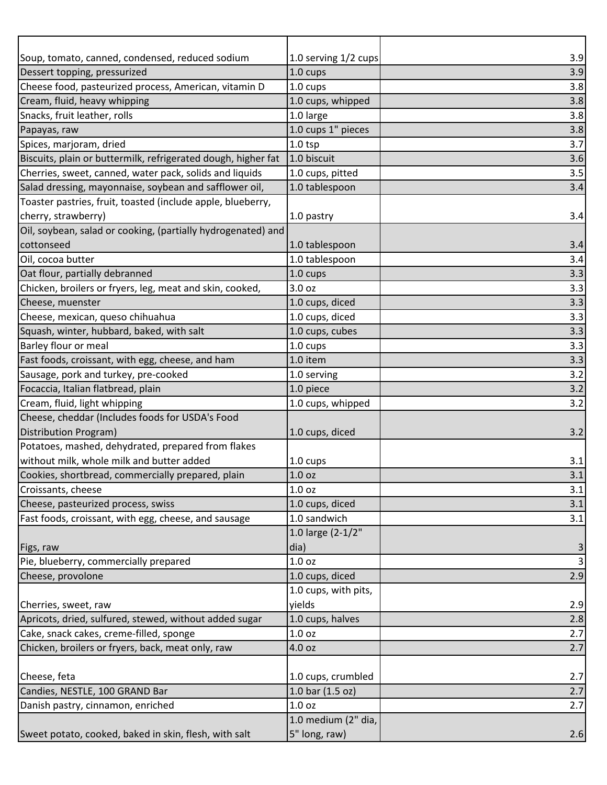| Soup, tomato, canned, condensed, reduced sodium               | 1.0 serving 1/2 cups | 3.9          |
|---------------------------------------------------------------|----------------------|--------------|
| Dessert topping, pressurized                                  | 1.0 cups             | 3.9          |
| Cheese food, pasteurized process, American, vitamin D         | 1.0 cups             | 3.8          |
| Cream, fluid, heavy whipping                                  | 1.0 cups, whipped    | 3.8          |
| Snacks, fruit leather, rolls                                  | 1.0 large            | 3.8          |
| Papayas, raw                                                  | 1.0 cups 1" pieces   | 3.8          |
| Spices, marjoram, dried                                       | $1.0$ tsp            | 3.7          |
| Biscuits, plain or buttermilk, refrigerated dough, higher fat | 1.0 biscuit          | 3.6          |
| Cherries, sweet, canned, water pack, solids and liquids       | 1.0 cups, pitted     | 3.5          |
| Salad dressing, mayonnaise, soybean and safflower oil,        | 1.0 tablespoon       | 3.4          |
| Toaster pastries, fruit, toasted (include apple, blueberry,   |                      |              |
| cherry, strawberry)                                           | 1.0 pastry           | 3.4          |
| Oil, soybean, salad or cooking, (partially hydrogenated) and  |                      |              |
| cottonseed                                                    | 1.0 tablespoon       | 3.4          |
| Oil, cocoa butter                                             | 1.0 tablespoon       | 3.4          |
| Oat flour, partially debranned                                | 1.0 cups             | 3.3          |
| Chicken, broilers or fryers, leg, meat and skin, cooked,      | 3.0 oz               | 3.3          |
| Cheese, muenster                                              | 1.0 cups, diced      | 3.3          |
| Cheese, mexican, queso chihuahua                              | 1.0 cups, diced      | 3.3          |
| Squash, winter, hubbard, baked, with salt                     | 1.0 cups, cubes      | 3.3          |
| Barley flour or meal                                          | 1.0 cups             | 3.3          |
| Fast foods, croissant, with egg, cheese, and ham              | 1.0 item             | 3.3          |
| Sausage, pork and turkey, pre-cooked                          | 1.0 serving          | 3.2          |
| Focaccia, Italian flatbread, plain                            | 1.0 piece            | 3.2          |
| Cream, fluid, light whipping                                  | 1.0 cups, whipped    | 3.2          |
| Cheese, cheddar (Includes foods for USDA's Food               |                      |              |
| Distribution Program)                                         | 1.0 cups, diced      | 3.2          |
| Potatoes, mashed, dehydrated, prepared from flakes            |                      |              |
| without milk, whole milk and butter added                     | 1.0 cups             | 3.1          |
| Cookies, shortbread, commercially prepared, plain             | 1.0 <sub>oz</sub>    | 3.1          |
| Croissants, cheese                                            | 1.0 <sub>oz</sub>    | 3.1          |
| Cheese, pasteurized process, swiss                            | 1.0 cups, diced      | 3.1          |
| Fast foods, croissant, with egg, cheese, and sausage          | 1.0 sandwich         | 3.1          |
|                                                               | 1.0 large (2-1/2"    |              |
| Figs, raw                                                     | dia)                 | 3            |
| Pie, blueberry, commercially prepared                         | 1.0 <sub>oz</sub>    | $\mathsf{3}$ |
| Cheese, provolone                                             | 1.0 cups, diced      | 2.9          |
|                                                               | 1.0 cups, with pits, |              |
| Cherries, sweet, raw                                          | yields               | 2.9          |
| Apricots, dried, sulfured, stewed, without added sugar        | 1.0 cups, halves     | 2.8          |
| Cake, snack cakes, creme-filled, sponge                       | 1.0 <sub>oz</sub>    | 2.7          |
| Chicken, broilers or fryers, back, meat only, raw             | 4.0 oz               | 2.7          |
|                                                               |                      |              |
| Cheese, feta                                                  | 1.0 cups, crumbled   | 2.7          |
| Candies, NESTLE, 100 GRAND Bar                                | 1.0 bar (1.5 oz)     | 2.7          |
| Danish pastry, cinnamon, enriched                             | 1.0 <sub>oz</sub>    | 2.7          |
|                                                               | 1.0 medium (2" dia,  |              |
| Sweet potato, cooked, baked in skin, flesh, with salt         | 5" long, raw)        | 2.6          |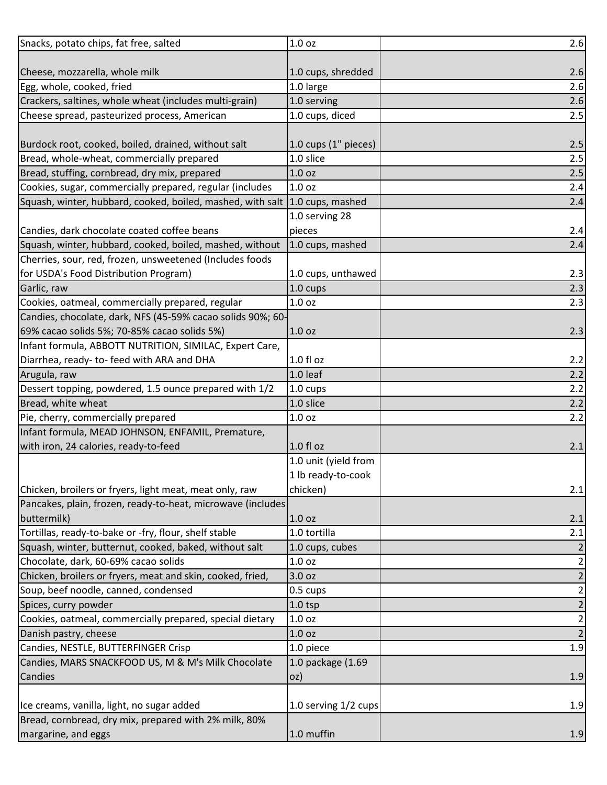| Snacks, potato chips, fat free, salted                                      | 1.0 <sub>oz</sub>    | 2.6                     |
|-----------------------------------------------------------------------------|----------------------|-------------------------|
|                                                                             |                      |                         |
| Cheese, mozzarella, whole milk                                              | 1.0 cups, shredded   | 2.6                     |
| Egg, whole, cooked, fried                                                   | 1.0 large            | 2.6                     |
| Crackers, saltines, whole wheat (includes multi-grain)                      | 1.0 serving          | 2.6                     |
| Cheese spread, pasteurized process, American                                | 1.0 cups, diced      | 2.5                     |
|                                                                             |                      |                         |
| Burdock root, cooked, boiled, drained, without salt                         | 1.0 cups (1" pieces) | 2.5                     |
| Bread, whole-wheat, commercially prepared                                   | 1.0 slice            | 2.5                     |
| Bread, stuffing, cornbread, dry mix, prepared                               | 1.0 <sub>oz</sub>    | 2.5                     |
| Cookies, sugar, commercially prepared, regular (includes                    | 1.0 <sub>oz</sub>    | 2.4                     |
| Squash, winter, hubbard, cooked, boiled, mashed, with salt 1.0 cups, mashed |                      | 2.4                     |
|                                                                             | 1.0 serving 28       |                         |
| Candies, dark chocolate coated coffee beans                                 | pieces               | 2.4                     |
| Squash, winter, hubbard, cooked, boiled, mashed, without                    | 1.0 cups, mashed     | 2.4                     |
| Cherries, sour, red, frozen, unsweetened (Includes foods                    |                      |                         |
| for USDA's Food Distribution Program)                                       | 1.0 cups, unthawed   | 2.3                     |
| Garlic, raw                                                                 | 1.0 cups             | 2.3                     |
| Cookies, oatmeal, commercially prepared, regular                            | 1.0 <sub>oz</sub>    | 2.3                     |
| Candies, chocolate, dark, NFS (45-59% cacao solids 90%; 60-                 |                      |                         |
| 69% cacao solids 5%; 70-85% cacao solids 5%)                                | 1.0 <sub>oz</sub>    | 2.3                     |
| Infant formula, ABBOTT NUTRITION, SIMILAC, Expert Care,                     |                      |                         |
| Diarrhea, ready- to- feed with ARA and DHA                                  | 1.0 fl oz            | 2.2                     |
| Arugula, raw                                                                | 1.0 leaf             | 2.2                     |
| Dessert topping, powdered, 1.5 ounce prepared with 1/2                      | 1.0 cups             | 2.2                     |
| Bread, white wheat                                                          | 1.0 slice            | 2.2                     |
| Pie, cherry, commercially prepared                                          | 1.0 <sub>oz</sub>    | 2.2                     |
| Infant formula, MEAD JOHNSON, ENFAMIL, Premature,                           |                      |                         |
| with iron, 24 calories, ready-to-feed                                       | $1.0 f$ l oz         | 2.1                     |
|                                                                             | 1.0 unit (yield from |                         |
|                                                                             | 1 lb ready-to-cook   |                         |
| Chicken, broilers or fryers, light meat, meat only, raw                     | chicken)             | 2.1                     |
| Pancakes, plain, frozen, ready-to-heat, microwave (includes                 |                      |                         |
| buttermilk)                                                                 | 1.0 <sub>oz</sub>    | 2.1                     |
| Tortillas, ready-to-bake or -fry, flour, shelf stable                       | 1.0 tortilla         | 2.1                     |
| Squash, winter, butternut, cooked, baked, without salt                      | 1.0 cups, cubes      |                         |
| Chocolate, dark, 60-69% cacao solids                                        | 1.0 <sub>oz</sub>    | 2                       |
| Chicken, broilers or fryers, meat and skin, cooked, fried,                  | 3.0 oz               | 2                       |
| Soup, beef noodle, canned, condensed                                        | 0.5 cups             | 2                       |
| Spices, curry powder                                                        | $1.0$ tsp            | 2                       |
| Cookies, oatmeal, commercially prepared, special dietary                    | 1.0 <sub>oz</sub>    | $\overline{\mathbf{c}}$ |
| Danish pastry, cheese                                                       | 1.0 <sub>oz</sub>    | $\overline{2}$          |
| Candies, NESTLE, BUTTERFINGER Crisp                                         | 1.0 piece            | 1.9                     |
| Candies, MARS SNACKFOOD US, M & M's Milk Chocolate                          | 1.0 package (1.69    |                         |
| Candies                                                                     | oz)                  | 1.9                     |
|                                                                             |                      |                         |
| Ice creams, vanilla, light, no sugar added                                  | 1.0 serving 1/2 cups | 1.9                     |
| Bread, cornbread, dry mix, prepared with 2% milk, 80%                       |                      |                         |
| margarine, and eggs                                                         | 1.0 muffin           | 1.9                     |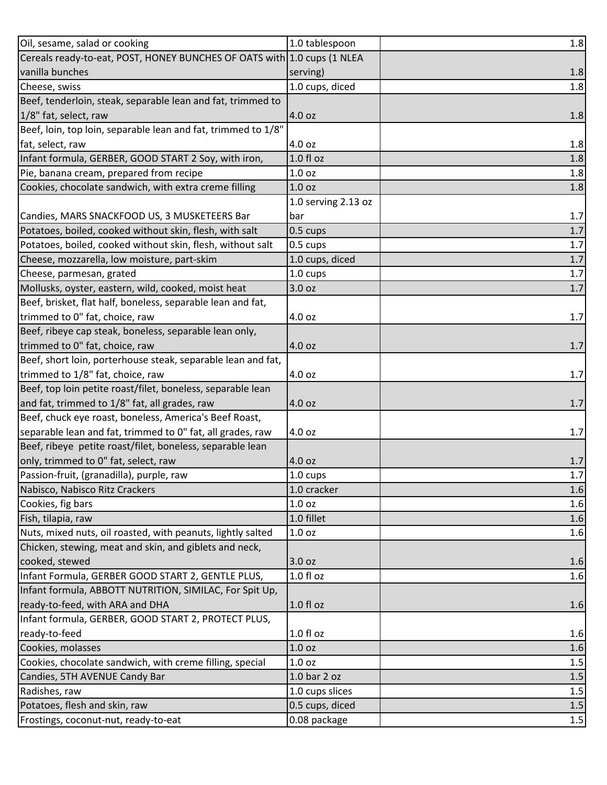| Oil, sesame, salad or cooking                                           | 1.0 tablespoon      | 1.8     |
|-------------------------------------------------------------------------|---------------------|---------|
| Cereals ready-to-eat, POST, HONEY BUNCHES OF OATS with 1.0 cups (1 NLEA |                     |         |
| vanilla bunches                                                         | serving)            | 1.8     |
| Cheese, swiss                                                           | 1.0 cups, diced     | 1.8     |
| Beef, tenderloin, steak, separable lean and fat, trimmed to             |                     |         |
| 1/8" fat, select, raw                                                   | 4.0 oz              | 1.8     |
| Beef, loin, top loin, separable lean and fat, trimmed to 1/8"           |                     |         |
| fat, select, raw                                                        | 4.0 oz              | 1.8     |
| Infant formula, GERBER, GOOD START 2 Soy, with iron,                    | $1.0 f$ l oz        | 1.8     |
| Pie, banana cream, prepared from recipe                                 | 1.0 oz              | 1.8     |
| Cookies, chocolate sandwich, with extra creme filling                   | 1.0 oz              | 1.8     |
|                                                                         | 1.0 serving 2.13 oz |         |
| Candies, MARS SNACKFOOD US, 3 MUSKETEERS Bar                            | bar                 | 1.7     |
| Potatoes, boiled, cooked without skin, flesh, with salt                 | 0.5 cups            | $1.7$   |
| Potatoes, boiled, cooked without skin, flesh, without salt              | 0.5 cups            | 1.7     |
| Cheese, mozzarella, low moisture, part-skim                             | 1.0 cups, diced     | 1.7     |
| Cheese, parmesan, grated                                                | 1.0 cups            | $1.7\,$ |
| Mollusks, oyster, eastern, wild, cooked, moist heat                     | 3.0 oz              | 1.7     |
| Beef, brisket, flat half, boneless, separable lean and fat,             |                     |         |
| trimmed to 0" fat, choice, raw                                          | 4.0 oz              | 1.7     |
| Beef, ribeye cap steak, boneless, separable lean only,                  |                     |         |
| trimmed to 0" fat, choice, raw                                          | 4.0 oz              | 1.7     |
| Beef, short loin, porterhouse steak, separable lean and fat,            |                     |         |
| trimmed to 1/8" fat, choice, raw                                        | 4.0 oz              | 1.7     |
| Beef, top loin petite roast/filet, boneless, separable lean             |                     |         |
| and fat, trimmed to 1/8" fat, all grades, raw                           | 4.0 oz              | 1.7     |
| Beef, chuck eye roast, boneless, America's Beef Roast,                  |                     |         |
| separable lean and fat, trimmed to 0" fat, all grades, raw              | 4.0 oz              | 1.7     |
| Beef, ribeye petite roast/filet, boneless, separable lean               |                     |         |
| only, trimmed to 0" fat, select, raw                                    | 4.0 oz              | 1.7     |
| Passion-fruit, (granadilla), purple, raw                                | 1.0 cups            | $1.7$   |
| Nabisco, Nabisco Ritz Crackers                                          | 1.0 cracker         | 1.6     |
| Cookies, fig bars                                                       | 1.0 oz              | 1.6     |
| Fish, tilapia, raw                                                      | 1.0 fillet          | 1.6     |
| Nuts, mixed nuts, oil roasted, with peanuts, lightly salted             | 1.0 <sub>oz</sub>   | 1.6     |
| Chicken, stewing, meat and skin, and giblets and neck,                  |                     |         |
| cooked, stewed                                                          | 3.0 oz              | 1.6     |
| Infant Formula, GERBER GOOD START 2, GENTLE PLUS,                       | 1.0 fl oz           | 1.6     |
| Infant formula, ABBOTT NUTRITION, SIMILAC, For Spit Up,                 |                     |         |
| ready-to-feed, with ARA and DHA                                         | $1.0 f$ l oz        | 1.6     |
| Infant formula, GERBER, GOOD START 2, PROTECT PLUS,                     |                     |         |
| ready-to-feed                                                           | $1.0 f$ l oz        | 1.6     |
| Cookies, molasses                                                       | 1.0 oz              | 1.6     |
| Cookies, chocolate sandwich, with creme filling, special                | 1.0 oz              | 1.5     |
| Candies, 5TH AVENUE Candy Bar                                           | 1.0 bar 2 oz        | $1.5$   |
| Radishes, raw                                                           | 1.0 cups slices     | 1.5     |
| Potatoes, flesh and skin, raw                                           | 0.5 cups, diced     | $1.5\,$ |
| Frostings, coconut-nut, ready-to-eat                                    | 0.08 package        | $1.5\,$ |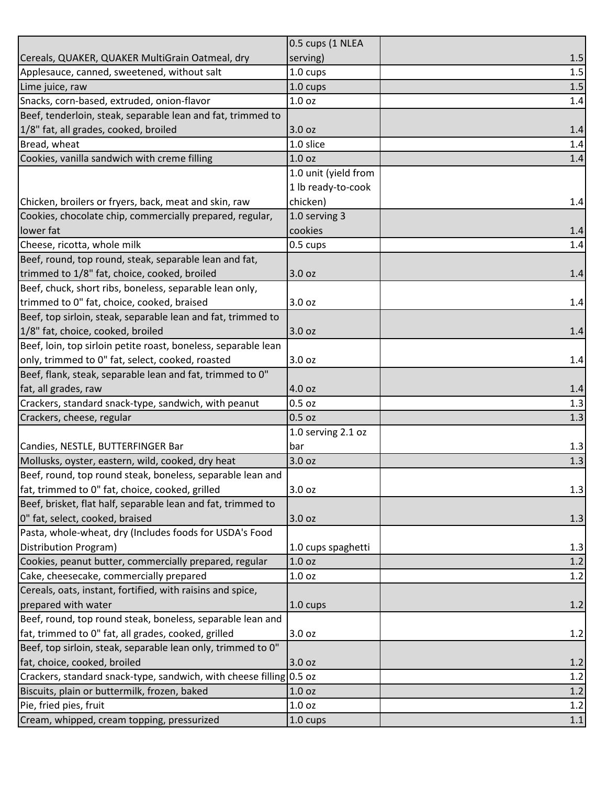|                                                                     | 0.5 cups (1 NLEA     |         |
|---------------------------------------------------------------------|----------------------|---------|
| Cereals, QUAKER, QUAKER MultiGrain Oatmeal, dry                     | serving)             | 1.5     |
| Applesauce, canned, sweetened, without salt                         | 1.0 cups             | 1.5     |
| Lime juice, raw                                                     | 1.0 cups             | 1.5     |
| Snacks, corn-based, extruded, onion-flavor                          | 1.0 oz               | 1.4     |
| Beef, tenderloin, steak, separable lean and fat, trimmed to         |                      |         |
| 1/8" fat, all grades, cooked, broiled                               | 3.0 oz               | 1.4     |
| Bread, wheat                                                        | 1.0 slice            | 1.4     |
| Cookies, vanilla sandwich with creme filling                        | 1.0 <sub>oz</sub>    | 1.4     |
|                                                                     | 1.0 unit (yield from |         |
|                                                                     | 1 lb ready-to-cook   |         |
| Chicken, broilers or fryers, back, meat and skin, raw               | chicken)             | 1.4     |
| Cookies, chocolate chip, commercially prepared, regular,            | 1.0 serving 3        |         |
| lower fat                                                           | cookies              | 1.4     |
| Cheese, ricotta, whole milk                                         | 0.5 cups             | 1.4     |
| Beef, round, top round, steak, separable lean and fat,              |                      |         |
| trimmed to 1/8" fat, choice, cooked, broiled                        | 3.0 oz               | 1.4     |
| Beef, chuck, short ribs, boneless, separable lean only,             |                      |         |
| trimmed to 0" fat, choice, cooked, braised                          | 3.0 oz               | 1.4     |
| Beef, top sirloin, steak, separable lean and fat, trimmed to        |                      |         |
| 1/8" fat, choice, cooked, broiled                                   | 3.0 oz               | 1.4     |
| Beef, loin, top sirloin petite roast, boneless, separable lean      |                      |         |
| only, trimmed to 0" fat, select, cooked, roasted                    | 3.0 oz               | 1.4     |
| Beef, flank, steak, separable lean and fat, trimmed to 0"           |                      |         |
| fat, all grades, raw                                                | 4.0 oz               | 1.4     |
| Crackers, standard snack-type, sandwich, with peanut                | 0.5 oz               | 1.3     |
| Crackers, cheese, regular                                           | 0.5 oz               | 1.3     |
|                                                                     | 1.0 serving 2.1 oz   |         |
| Candies, NESTLE, BUTTERFINGER Bar                                   | bar                  | 1.3     |
| Mollusks, oyster, eastern, wild, cooked, dry heat                   | 3.0 oz               | 1.3     |
| Beef, round, top round steak, boneless, separable lean and          |                      |         |
| fat, trimmed to 0" fat, choice, cooked, grilled                     | 3.0 oz               | 1.3     |
| Beef, brisket, flat half, separable lean and fat, trimmed to        |                      |         |
| 0" fat, select, cooked, braised                                     | 3.0 oz               | 1.3     |
| Pasta, whole-wheat, dry (Includes foods for USDA's Food             |                      |         |
| Distribution Program)                                               | 1.0 cups spaghetti   | 1.3     |
| Cookies, peanut butter, commercially prepared, regular              | 1.0 <sub>oz</sub>    | 1.2     |
| Cake, cheesecake, commercially prepared                             | 1.0 oz               | 1.2     |
| Cereals, oats, instant, fortified, with raisins and spice,          |                      |         |
| prepared with water                                                 | $1.0 \text{ cups}$   | 1.2     |
| Beef, round, top round steak, boneless, separable lean and          |                      |         |
| fat, trimmed to 0" fat, all grades, cooked, grilled                 | 3.0 oz               | 1.2     |
| Beef, top sirloin, steak, separable lean only, trimmed to 0"        |                      |         |
| fat, choice, cooked, broiled                                        | 3.0 oz               | 1.2     |
| Crackers, standard snack-type, sandwich, with cheese filling 0.5 oz |                      | 1.2     |
| Biscuits, plain or buttermilk, frozen, baked                        | 1.0 <sub>oz</sub>    | 1.2     |
| Pie, fried pies, fruit                                              | 1.0 oz               | 1.2     |
| Cream, whipped, cream topping, pressurized                          | 1.0 cups             | $1.1\,$ |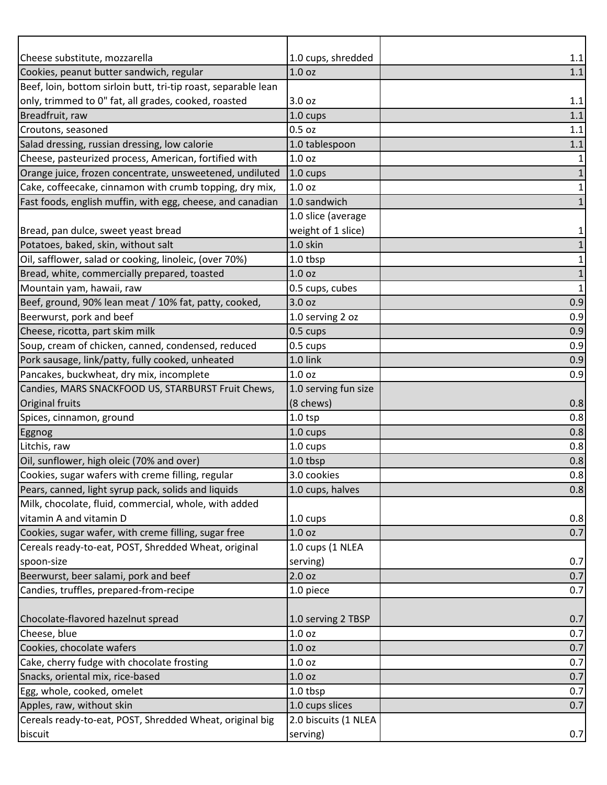| Cheese substitute, mozzarella                                  | 1.0 cups, shredded     | 1.1          |
|----------------------------------------------------------------|------------------------|--------------|
| Cookies, peanut butter sandwich, regular                       | 1.0 <sub>oz</sub>      | 1.1          |
| Beef, loin, bottom sirloin butt, tri-tip roast, separable lean |                        |              |
| only, trimmed to 0" fat, all grades, cooked, roasted           | 3.0 oz                 | 1.1          |
| Breadfruit, raw                                                | 1.0 cups               | 1.1          |
| Croutons, seasoned                                             | $0.5$ oz               | 1.1          |
| Salad dressing, russian dressing, low calorie                  | 1.0 tablespoon         | 1.1          |
| Cheese, pasteurized process, American, fortified with          | 1.0 <sub>oz</sub>      |              |
| Orange juice, frozen concentrate, unsweetened, undiluted       | 1.0 cups               |              |
| Cake, coffeecake, cinnamon with crumb topping, dry mix,        | 1.0 <sub>oz</sub>      | 1            |
| Fast foods, english muffin, with egg, cheese, and canadian     | 1.0 sandwich           | 1            |
|                                                                | 1.0 slice (average     |              |
| Bread, pan dulce, sweet yeast bread                            | weight of 1 slice)     | 1            |
| Potatoes, baked, skin, without salt                            | 1.0 skin               |              |
| Oil, safflower, salad or cooking, linoleic, (over 70%)         | 1.0 tbsp               | 1            |
| Bread, white, commercially prepared, toasted                   | 1.0 <sub>oz</sub>      | 1            |
| Mountain yam, hawaii, raw                                      | 0.5 cups, cubes        | $\mathbf{1}$ |
| Beef, ground, 90% lean meat / 10% fat, patty, cooked,          | 3.0 oz                 | 0.9          |
| Beerwurst, pork and beef                                       | 1.0 serving 2 oz       | 0.9          |
| Cheese, ricotta, part skim milk                                | 0.5 cups               | 0.9          |
| Soup, cream of chicken, canned, condensed, reduced             | 0.5 cups               | 0.9          |
| Pork sausage, link/patty, fully cooked, unheated               | 1.0 link               | 0.9          |
| Pancakes, buckwheat, dry mix, incomplete                       | 1.0 <sub>oz</sub>      | 0.9          |
| Candies, MARS SNACKFOOD US, STARBURST Fruit Chews,             | 1.0 serving fun size   |              |
| Original fruits                                                | (8 chews)<br>$1.0$ tsp | 0.8<br>0.8   |
| Spices, cinnamon, ground                                       | 1.0 cups               | 0.8          |
| Eggnog<br>Litchis, raw                                         | 1.0 cups               | 0.8          |
| Oil, sunflower, high oleic (70% and over)                      | 1.0 tbsp               | 0.8          |
| Cookies, sugar wafers with creme filling, regular              | 3.0 cookies            | 0.8          |
| Pears, canned, light syrup pack, solids and liquids            | 1.0 cups, halves       | 0.8          |
| Milk, chocolate, fluid, commercial, whole, with added          |                        |              |
| vitamin A and vitamin D                                        | 1.0 cups               | 0.8          |
| Cookies, sugar wafer, with creme filling, sugar free           | 1.0 <sub>oz</sub>      | 0.7          |
| Cereals ready-to-eat, POST, Shredded Wheat, original           | 1.0 cups (1 NLEA       |              |
| spoon-size                                                     | serving)               | 0.7          |
| Beerwurst, beer salami, pork and beef                          | 2.0 oz                 | 0.7          |
| Candies, truffles, prepared-from-recipe                        | 1.0 piece              | 0.7          |
|                                                                |                        |              |
| Chocolate-flavored hazelnut spread                             | 1.0 serving 2 TBSP     | 0.7          |
| Cheese, blue                                                   | 1.0 <sub>oz</sub>      | 0.7          |
| Cookies, chocolate wafers                                      | 1.0 <sub>oz</sub>      | 0.7          |
| Cake, cherry fudge with chocolate frosting                     | 1.0 oz                 | 0.7          |
| Snacks, oriental mix, rice-based                               | 1.0 <sub>oz</sub>      | 0.7          |
| Egg, whole, cooked, omelet                                     | 1.0 tbsp               | 0.7          |
| Apples, raw, without skin                                      | 1.0 cups slices        | 0.7          |
| Cereals ready-to-eat, POST, Shredded Wheat, original big       | 2.0 biscuits (1 NLEA   |              |
| biscuit                                                        | serving)               | 0.7          |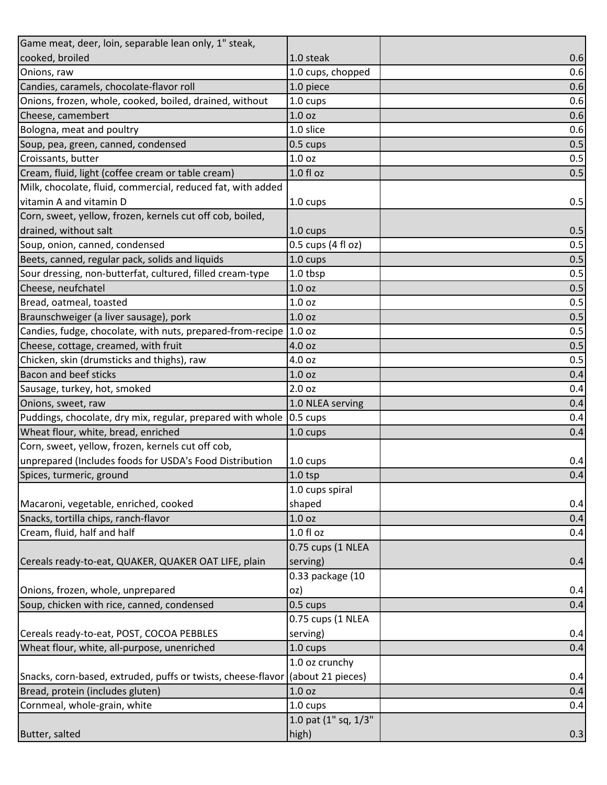| Game meat, deer, loin, separable lean only, 1" steak,                          |                      |     |
|--------------------------------------------------------------------------------|----------------------|-----|
| cooked, broiled                                                                | 1.0 steak            | 0.6 |
| Onions, raw                                                                    | 1.0 cups, chopped    | 0.6 |
| Candies, caramels, chocolate-flavor roll                                       | 1.0 piece            | 0.6 |
| Onions, frozen, whole, cooked, boiled, drained, without                        | 1.0 cups             | 0.6 |
| Cheese, camembert                                                              | 1.0 <sub>oz</sub>    | 0.6 |
| Bologna, meat and poultry                                                      | 1.0 slice            | 0.6 |
| Soup, pea, green, canned, condensed                                            | 0.5 cups             | 0.5 |
| Croissants, butter                                                             | 1.0 <sub>oz</sub>    | 0.5 |
| Cream, fluid, light (coffee cream or table cream)                              | $1.0 f$ l oz         | 0.5 |
| Milk, chocolate, fluid, commercial, reduced fat, with added                    |                      |     |
| vitamin A and vitamin D                                                        | 1.0 cups             | 0.5 |
| Corn, sweet, yellow, frozen, kernels cut off cob, boiled,                      |                      |     |
| drained, without salt                                                          | 1.0 cups             | 0.5 |
| Soup, onion, canned, condensed                                                 | 0.5 cups (4 fl oz)   | 0.5 |
| Beets, canned, regular pack, solids and liquids                                | 1.0 cups             | 0.5 |
| Sour dressing, non-butterfat, cultured, filled cream-type                      | 1.0 tbsp             | 0.5 |
| Cheese, neufchatel                                                             | 1.0 <sub>oz</sub>    | 0.5 |
| Bread, oatmeal, toasted                                                        | 1.0 <sub>oz</sub>    | 0.5 |
| Braunschweiger (a liver sausage), pork                                         | 1.0 <sub>oz</sub>    | 0.5 |
| Candies, fudge, chocolate, with nuts, prepared-from-recipe 1.0 oz              |                      | 0.5 |
| Cheese, cottage, creamed, with fruit                                           | 4.0 oz               | 0.5 |
| Chicken, skin (drumsticks and thighs), raw                                     | 4.0 oz               | 0.5 |
| <b>Bacon and beef sticks</b>                                                   | 1.0 <sub>oz</sub>    | 0.4 |
| Sausage, turkey, hot, smoked                                                   | 2.0 oz               | 0.4 |
| Onions, sweet, raw                                                             | 1.0 NLEA serving     | 0.4 |
| Puddings, chocolate, dry mix, regular, prepared with whole  0.5 cups           |                      | 0.4 |
| Wheat flour, white, bread, enriched                                            | 1.0 cups             | 0.4 |
| Corn, sweet, yellow, frozen, kernels cut off cob,                              |                      |     |
| unprepared (Includes foods for USDA's Food Distribution                        | 1.0 cups             | 0.4 |
| Spices, turmeric, ground                                                       | $1.0$ tsp            | 0.4 |
|                                                                                | 1.0 cups spiral      |     |
| Macaroni, vegetable, enriched, cooked                                          | shaped               | 0.4 |
| Snacks, tortilla chips, ranch-flavor                                           | 1.0 <sub>oz</sub>    | 0.4 |
| Cream, fluid, half and half                                                    | 1.0 f1 oz            | 0.4 |
|                                                                                | 0.75 cups (1 NLEA    |     |
| Cereals ready-to-eat, QUAKER, QUAKER OAT LIFE, plain                           | serving)             | 0.4 |
|                                                                                | 0.33 package (10     |     |
| Onions, frozen, whole, unprepared                                              | oz)                  | 0.4 |
| Soup, chicken with rice, canned, condensed                                     | 0.5 cups             | 0.4 |
|                                                                                | 0.75 cups (1 NLEA    |     |
| Cereals ready-to-eat, POST, COCOA PEBBLES                                      | serving)             | 0.4 |
| Wheat flour, white, all-purpose, unenriched                                    | 1.0 cups             | 0.4 |
|                                                                                | 1.0 oz crunchy       |     |
| Snacks, corn-based, extruded, puffs or twists, cheese-flavor (about 21 pieces) |                      | 0.4 |
| Bread, protein (includes gluten)                                               | 1.0 <sub>oz</sub>    | 0.4 |
| Cornmeal, whole-grain, white                                                   | 1.0 cups             | 0.4 |
|                                                                                | 1.0 pat (1" sq, 1/3" |     |
| Butter, salted                                                                 | high)                | 0.3 |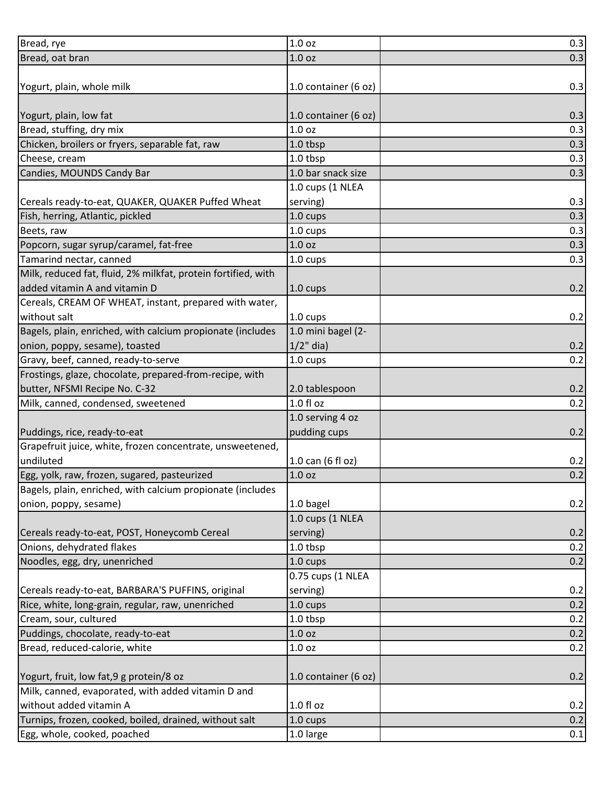| Bread, rye                                                    | 1.0 oz               | 0.3 |
|---------------------------------------------------------------|----------------------|-----|
| Bread, oat bran                                               | 1.0 <sub>oz</sub>    | 0.3 |
|                                                               |                      |     |
| Yogurt, plain, whole milk                                     | 1.0 container (6 oz) | 0.3 |
|                                                               |                      |     |
| Yogurt, plain, low fat                                        | 1.0 container (6 oz) | 0.3 |
| Bread, stuffing, dry mix                                      | 1.0 <sub>oz</sub>    | 0.3 |
| Chicken, broilers or fryers, separable fat, raw               | 1.0 tbsp             | 0.3 |
| Cheese, cream                                                 | 1.0 tbsp             | 0.3 |
| Candies, MOUNDS Candy Bar                                     | 1.0 bar snack size   | 0.3 |
|                                                               | 1.0 cups (1 NLEA     |     |
| Cereals ready-to-eat, QUAKER, QUAKER Puffed Wheat             | serving)             | 0.3 |
| Fish, herring, Atlantic, pickled                              | 1.0 cups             | 0.3 |
| Beets, raw                                                    | 1.0 cups             | 0.3 |
| Popcorn, sugar syrup/caramel, fat-free                        | 1.0 <sub>oz</sub>    | 0.3 |
| Tamarind nectar, canned                                       | 1.0 cups             | 0.3 |
| Milk, reduced fat, fluid, 2% milkfat, protein fortified, with |                      |     |
| added vitamin A and vitamin D                                 | 1.0 cups             | 0.2 |
| Cereals, CREAM OF WHEAT, instant, prepared with water,        |                      |     |
| without salt                                                  | 1.0 cups             | 0.2 |
| Bagels, plain, enriched, with calcium propionate (includes    | 1.0 mini bagel (2-   |     |
| onion, poppy, sesame), toasted                                | $1/2$ " dia)         | 0.2 |
| Gravy, beef, canned, ready-to-serve                           | 1.0 cups             | 0.2 |
| Frostings, glaze, chocolate, prepared-from-recipe, with       |                      |     |
| butter, NFSMI Recipe No. C-32                                 | 2.0 tablespoon       | 0.2 |
| Milk, canned, condensed, sweetened                            | 1.0 fl oz            | 0.2 |
|                                                               | 1.0 serving 4 oz     |     |
| Puddings, rice, ready-to-eat                                  | pudding cups         | 0.2 |
| Grapefruit juice, white, frozen concentrate, unsweetened,     |                      |     |
| undiluted                                                     | 1.0 can (6 fl oz)    | 0.2 |
| Egg, yolk, raw, frozen, sugared, pasteurized                  | 1.0 <sub>oz</sub>    | 0.2 |
| Bagels, plain, enriched, with calcium propionate (includes    |                      |     |
| onion, poppy, sesame)                                         | 1.0 bagel            | 0.2 |
|                                                               | 1.0 cups (1 NLEA     |     |
| Cereals ready-to-eat, POST, Honeycomb Cereal                  | serving)             | 0.2 |
| Onions, dehydrated flakes                                     | 1.0 tbsp             | 0.2 |
| Noodles, egg, dry, unenriched                                 | 1.0 cups             | 0.2 |
|                                                               | 0.75 cups (1 NLEA    |     |
| Cereals ready-to-eat, BARBARA'S PUFFINS, original             | serving)             | 0.2 |
| Rice, white, long-grain, regular, raw, unenriched             | 1.0 cups             | 0.2 |
| Cream, sour, cultured                                         | 1.0 tbsp             | 0.2 |
| Puddings, chocolate, ready-to-eat                             | 1.0 oz               | 0.2 |
| Bread, reduced-calorie, white                                 | 1.0 oz               | 0.2 |
|                                                               |                      |     |
| Yogurt, fruit, low fat, 9 g protein/8 oz                      | 1.0 container (6 oz) | 0.2 |
| Milk, canned, evaporated, with added vitamin D and            |                      |     |
| without added vitamin A                                       | 1.0 fl oz            | 0.2 |
| Turnips, frozen, cooked, boiled, drained, without salt        | 1.0 cups             | 0.2 |
| Egg, whole, cooked, poached                                   | 1.0 large            | 0.1 |